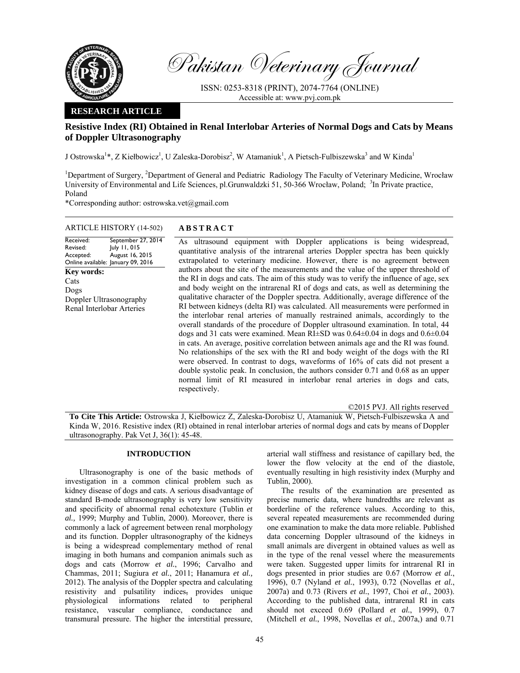

Pakistan Veterinary Journal

ISSN: 0253-8318 (PRINT), 2074-7764 (ONLINE) Accessible at: www.pvj.com.pk

## **RESEARCH ARTICLE**

# **Resistive Index (RI) Obtained in Renal Interlobar Arteries of Normal Dogs and Cats by Means of Doppler Ultrasonography**

J Ostrowska<sup>1</sup>\*, Z Kiełbowicz<sup>1</sup>, U Zaleska-Dorobisz<sup>2</sup>, W Atamaniuk<sup>1</sup>, A Pietsch-Fulbiszewska<sup>3</sup> and W Kinda<sup>1</sup>

<sup>1</sup>Department of Surgery, <sup>2</sup>Department of General and Pediatric Radiology The Faculty of Veterinary Medicine, Wrocław University of Environmental and Life Sciences, pl.Grunwaldzki 51, 50-366 Wrocław, Poland; <sup>3</sup>In Private practice, Poland

\*Corresponding author: ostrowska.vet@gmail.com

## ARTICLE HISTORY (14-502) **ABSTRACT**

Received: Revised: Accepted: Online available: January 09, 2016 September 27, 2014 July 11, 015 August 16, 2015 **Key words:**  Cats Dogs Doppler Ultrasonography Renal Interlobar Arteries

 As ultrasound equipment with Doppler applications is being widespread, quantitative analysis of the intrarenal arteries Doppler spectra has been quickly extrapolated to veterinary medicine. However, there is no agreement between authors about the site of the measurements and the value of the upper threshold of the RI in dogs and cats. The aim of this study was to verify the influence of age, sex and body weight on the intrarenal RI of dogs and cats, as well as determining the qualitative character of the Doppler spectra. Additionally, average difference of the RI between kidneys (delta RI) was calculated. All measurements were performed in the interlobar renal arteries of manually restrained animals, accordingly to the overall standards of the procedure of Doppler ultrasound examination. In total, 44 dogs and 31 cats were examined. Mean RI±SD was 0.64±0.04 in dogs and 0.6±0.04 in cats. An average, positive correlation between animals age and the RI was found. No relationships of the sex with the RI and body weight of the dogs with the RI were observed. In contrast to dogs, waveforms of 16% of cats did not present a double systolic peak. In conclusion, the authors consider 0.71 and 0.68 as an upper normal limit of RI measured in interlobar renal arteries in dogs and cats, respectively.

©2015 PVJ. All rights reserved

**To Cite This Article:** Ostrowska J, Kiełbowicz Z, Zaleska-Dorobisz U, Atamaniuk W, Pietsch-Fulbiszewska A and Kinda W, 2016. Resistive index (RI) obtained in renal interlobar arteries of normal dogs and cats by means of Doppler ultrasonography. Pak Vet J, 36(1): 45-48.

## **INTRODUCTION**

Ultrasonography is one of the basic methods of investigation in a common clinical problem such as kidney disease of dogs and cats. A serious disadvantage of standard B-mode ultrasonography is very low sensitivity and specificity of abnormal renal echotexture (Tublin *et al.,* 1999; Murphy and Tublin, 2000). Moreover, there is commonly a lack of agreement between renal morphology and its function. Doppler ultrasonography of the kidneys is being a widespread complementary method of renal imaging in both humans and companion animals such as dogs and cats (Morrow *et al.*, 1996; Carvalho and Chammas, 2011; Sugiura *et al.*, 2011; Hanamura *et al.,* 2012). The analysis of the Doppler spectra and calculating resistivity and pulsatility indices, provides unique physiological informations related to peripheral resistance, vascular compliance, conductance and transmural pressure. The higher the interstitial pressure,

arterial wall stiffness and resistance of capillary bed, the lower the flow velocity at the end of the diastole, eventually resulting in high resistivity index (Murphy and Tublin, 2000).

The results of the examination are presented as precise numeric data, where hundredths are relevant as borderline of the reference values. According to this, several repeated measurements are recommended during one examination to make the data more reliable. Published data concerning Doppler ultrasound of the kidneys in small animals are divergent in obtained values as well as in the type of the renal vessel where the measurements were taken. Suggested upper limits for intrarenal RI in dogs presented in prior studies are 0.67 (Morrow *et al.*, 1996), 0.7 (Nyland *et al.*, 1993), 0.72 (Novellas *et al.*, 2007a) and 0.73 (Rivers *et al.*, 1997, Choi *et al.*, 2003). According to the published data, intrarenal RI in cats should not exceed 0.69 (Pollard *et al.*, 1999), 0.7 (Mitchell *et al.*, 1998, Novellas *et al.*, 2007a,) and 0.71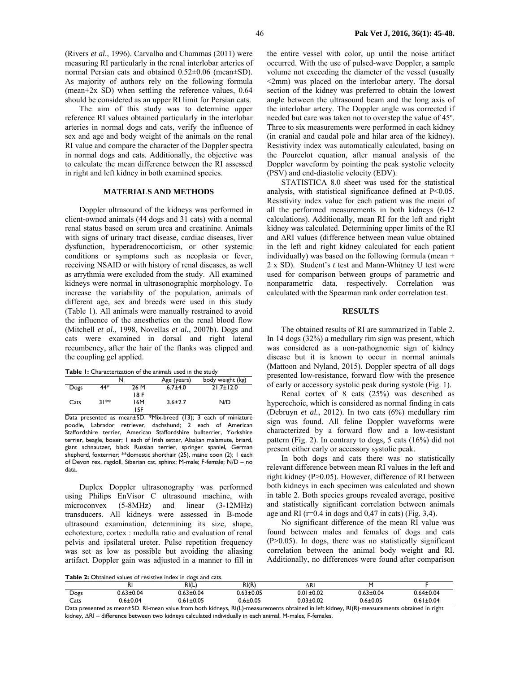(Rivers *et al.*, 1996). Carvalho and Chammas (2011) were measuring RI particularly in the renal interlobar arteries of normal Persian cats and obtained 0.52±0.06 (mean±SD). As majority of authors rely on the following formula (mean $+2x$  SD) when settling the reference values, 0.64 should be considered as an upper RI limit for Persian cats.

The aim of this study was to determine upper reference RI values obtained particularly in the interlobar arteries in normal dogs and cats, verify the influence of sex and age and body weight of the animals on the renal RI value and compare the character of the Doppler spectra in normal dogs and cats. Additionally, the objective was to calculate the mean difference between the RI assessed in right and left kidney in both examined species.

#### **MATERIALS AND METHODS**

Doppler ultrasound of the kidneys was performed in client-owned animals (44 dogs and 31 cats) with a normal renal status based on serum urea and creatinine. Animals with signs of urinary tract disease, cardiac diseases, liver dysfunction, hyperadrenocorticism, or other systemic conditions or symptoms such as neoplasia or fever, receiving NSAID or with history of renal diseases, as well as arrythmia were excluded from the study. All examined kidneys were normal in ultrasonographic morphology. To increase the variability of the population, animals of different age, sex and breeds were used in this study (Table 1). All animals were manually restrained to avoid the influence of the anesthetics on the renal blood flow (Mitchell *et al.*, 1998, Novellas *et al.*, 2007b). Dogs and cats were examined in dorsal and right lateral recumbency, after the hair of the flanks was clipped and the coupling gel applied.

**Table 1:** Characterization of the animals used in the study

|      |        | N    | Age (years)   | body weight (kg) |
|------|--------|------|---------------|------------------|
| Dogs | 44*    | 26 M | $6.7 + 4.0$   | $21.7 \pm 12.0$  |
|      |        | 18 F |               |                  |
| Cats | $31**$ | 16M  | $3.6 \pm 2.7$ | N/D              |
|      |        | 15F  |               |                  |

Data presented as mean±SD. \*Mix-breed (13); 3 each of miniature poodle, Labrador retriever, dachshund; 2 each of American Staffordshire terrier, American Staffordshire bullterrier, Yorkshire terrier, beagle, boxer; 1 each of Irish setter, Alaskan malamute, briard, giant schnautzer, black Russian terrier, springer spaniel, German shepherd, foxterrier; \*\*domestic shorthair (25), maine coon (2); 1 each of Devon rex, ragdoll, Siberian cat, sphinx; M-male; F-female; N/D – no data.

Duplex Doppler ultrasonography was performed using Philips EnVisor C ultrasound machine, with microconvex (5-8MHz) and linear (3-12MHz) transducers. All kidneys were assessed in B-mode ultrasound examination, determining its size, shape, echotexture, cortex : medulla ratio and evaluation of renal pelvis and ipsilateral ureter. Pulse repetition frequency was set as low as possible but avoiding the aliasing artifact. Doppler gain was adjusted in a manner to fill in

the entire vessel with color, up until the noise artifact occurred. With the use of pulsed-wave Doppler, a sample volume not exceeding the diameter of the vessel (usually <2mm) was placed on the interlobar artery. The dorsal section of the kidney was preferred to obtain the lowest angle between the ultrasound beam and the long axis of the interlobar artery. The Doppler angle was corrected if needed but care was taken not to overstep the value of 45º. Three to six measurements were performed in each kidney (in cranial and caudal pole and hilar area of the kidney). Resistivity index was automatically calculated, basing on the Pourcelot equation, after manual analysis of the Doppler waveform by pointing the peak systolic velocity (PSV) and end-diastolic velocity (EDV).

STATISTICA 8.0 sheet was used for the statistical analysis, with statistical significance defined at P<0.05. Resistivity index value for each patient was the mean of all the performed measurements in both kidneys (6-12 calculations). Additionally, mean RI for the left and right kidney was calculated. Determining upper limits of the RI and ∆RI values (difference between mean value obtained in the left and right kidney calculated for each patient individually) was based on the following formula (mean + 2 x SD). Student's *t* test and Mann-Whitney U test were used for comparison between groups of parametric and nonparametric data, respectively. Correlation was calculated with the Spearman rank order correlation test.

#### **RESULTS**

The obtained results of RI are summarized in Table 2. In 14 dogs (32%) a medullary rim sign was present, which was considered as a non-pathognomic sign of kidney disease but it is known to occur in normal animals (Mattoon and Nyland, 2015). Doppler spectra of all dogs presented low-resistance, forward flow with the presence of early or accessory systolic peak during systole (Fig. 1).

Renal cortex of 8 cats (25%) was described as hyperechoic, which is considered as normal finding in cats (Debruyn *et al.*, 2012). In two cats (6%) medullary rim sign was found. All feline Doppler waveforms were characterized by a forward flow and a low-resistant pattern (Fig. 2). In contrary to dogs, 5 cats (16%) did not present either early or accessory systolic peak.

In both dogs and cats there was no statistically relevant difference between mean RI values in the left and right kidney (P>0.05). However, difference of RI between both kidneys in each specimen was calculated and shown in table 2. Both species groups revealed average, positive and statistically significant correlation between animals age and RI ( $r=0.4$  in dogs and 0,47 in cats) (Fig. 3,4).

No significant difference of the mean RI value was found between males and females of dogs and cats  $(P>0.05)$ . In dogs, there was no statistically significant correlation between the animal body weight and RI. Additionally, no differences were found after comparison

**Table 2:** Obtained values of resistive index in dogs and cats.

|        | N              | RI(L)           | RI(R)               | ΔRΙ             |                 |                                           |
|--------|----------------|-----------------|---------------------|-----------------|-----------------|-------------------------------------------|
| Dogs   | $63 \pm 0.04$  | $0.63 \pm 0.04$ | $63 + 0.05$<br>כם ו | $0.01 \pm 0.02$ | $0.63 \pm 0.04$ | $0.64 \pm 0.04$                           |
| Cats   | $0.6 \pm 0.04$ | $0.61 \pm 0.05$ | $0.6 + 0.05$        | $0.03 + 0.02$   | $0.6 + 0.05$    | $0.61 \pm 0.04$                           |
| $\sim$ | -- - -         | .               | $    -$             | .               | $   -$          | $\sim$ $\sim$ $\sim$ $\sim$ $\sim$ $\sim$ |

Data presented as mean±SD. RI-mean value from both kidneys, RI(L)-measurements obtained in left kidney, RI(R)-measurements obtained in right kidney, ∆RI – difference between two kidneys calculated individually in each animal, M-males, F-females.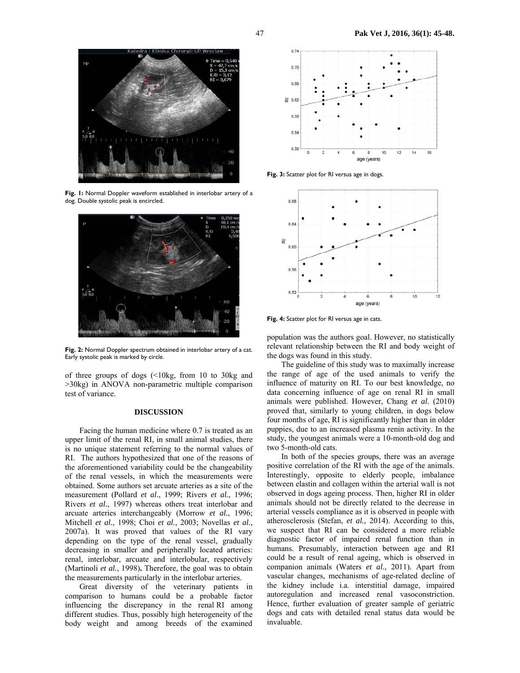

**Fig. 1:** Normal Doppler waveform established in interlobar artery of a dog. Double systolic peak is encircled.



Fig. 2: Normal Doppler spectrum obtained in interlobar artery of a cat. Early systolic peak is marked by circle.

of three groups of dogs (<10kg, from 10 to 30kg and >30kg) in ANOVA non-parametric multiple comparison test of variance.

### **DISCUSSION**

Facing the human medicine where 0.7 is treated as an upper limit of the renal RI, in small animal studies, there is no unique statement referring to the normal values of RI. The authors hypothesized that one of the reasons of the aforementioned variability could be the changeability of the renal vessels, in which the measurements were obtained. Some authors set arcuate arteries as a site of the measurement (Pollard *et al.*, 1999; Rivers *et al.*, 1996; Rivers *et al.*, 1997) whereas others treat interlobar and arcuate arteries interchangeably (Morrow *et al.*, 1996; Mitchell *et al.*, 1998; Choi *et al.*, 2003; Novellas *et al.*, 2007a). It was proved that values of the RI vary depending on the type of the renal vessel, gradually decreasing in smaller and peripherally located arteries: renal, interlobar, arcuate and interlobular, respectively (Martinoli *et al.*, 1998)**.** Therefore, the goal was to obtain the measurements particularly in the interlobar arteries.

Great diversity of the veterinary patients in comparison to humans could be a probable factor influencing the discrepancy in the renal RI among different studies. Thus, possibly high heterogeneity of the body weight and among breeds of the examined



**Fig. 3:** Scatter plot for RI versus age in dogs.



**Fig. 4:** Scatter plot for RI versus age in cats.

population was the authors goal. However, no statistically relevant relationship between the RI and body weight of the dogs was found in this study.

The guideline of this study was to maximally increase the range of age of the used animals to verify the influence of maturity on RI. To our best knowledge, no data concerning influence of age on renal RI in small animals were published. However, Chang *et al.* (2010) proved that, similarly to young children, in dogs below four months of age, RI is significantly higher than in older puppies, due to an increased plasma renin activity. In the study, the youngest animals were a 10-month-old dog and two 5-month-old cats.

In both of the species groups, there was an average positive correlation of the RI with the age of the animals. Interestingly, opposite to elderly people, imbalance between elastin and collagen within the arterial wall is not observed in dogs ageing process. Then, higher RI in older animals should not be directly related to the decrease in arterial vessels compliance as it is observed in people with atherosclerosis (Stefan, *et al.*, 2014). According to this, we suspect that RI can be considered a more reliable diagnostic factor of impaired renal function than in humans. Presumably, interaction between age and RI could be a result of renal ageing, which is observed in companion animals (Waters *et al.*, 2011). Apart from vascular changes, mechanisms of age-related decline of the kidney include i.a. interstitial damage, impaired autoregulation and increased renal vasoconstriction. Hence, further evaluation of greater sample of geriatric dogs and cats with detailed renal status data would be invaluable.